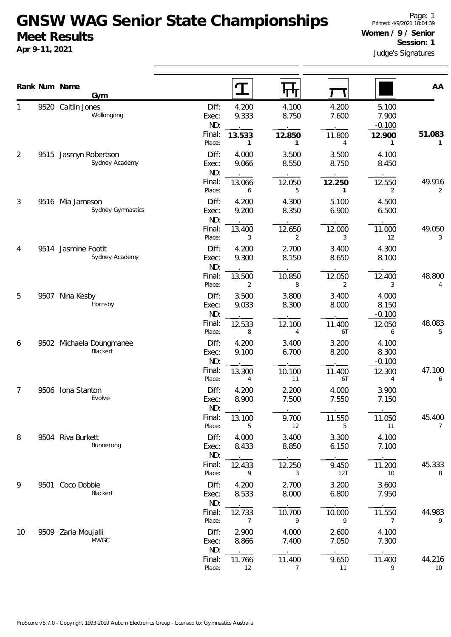## **GNSW WAG Senior State Championships Meet Results**

**Apr 9-11, 2021**

|                |      | Rank Num Name<br>Gym                    |                                                   | गग                                     |                       |                             | AA                       |
|----------------|------|-----------------------------------------|---------------------------------------------------|----------------------------------------|-----------------------|-----------------------------|--------------------------|
|                |      | 9520 Caitlin Jones<br>Wollongong        | 4.200<br>Diff:<br>9.333<br>Exec:<br>ND:           | 4.100<br>8.750                         | 4.200<br>7.600        | 5.100<br>7.900<br>$-0.100$  |                          |
|                |      |                                         | Final:<br>13.533<br>Place:                        | 12.850<br>1<br>1                       | 11.800<br>4           | 12.900<br>$\mathbf{1}$      | 51.083<br>1              |
| $\overline{2}$ |      | 9515 Jasmyn Robertson<br>Sydney Academy | 4.000<br>Diff:<br>9.066<br>Exec:<br>ND:           | 3.500<br>8.550                         | 3.500<br>8.750        | 4.100<br>8.450              |                          |
|                |      |                                         | Final:<br>13.066<br>Place:                        | 12.050<br>5<br>6                       | 12.250<br>1           | 12.550<br>2                 | 49.916<br>2              |
| 3              | 9516 | Mia Jameson<br>Sydney Gymnastics        | Diff:<br>4.200<br>9.200<br>Exec:<br>ND:           | 4.300<br>8.350                         | 5.100<br>6.900        | 4.500<br>6.500              |                          |
|                |      |                                         | Final:<br>13.400<br>Place:                        | 12.650<br>2<br>3                       | 12.000<br>3           | 11.000<br>12                | 49.050<br>3              |
| 4<br>5         | 9514 | Jasmine Footit<br>Sydney Academy        | Diff:<br>4.200<br>9.300<br>Exec:<br>ND:           | 2.700<br>8.150                         | 3.400<br>8.650        | 4.300<br>8.100              |                          |
|                |      |                                         | Final:<br>13.500<br>Place:                        | 10.850<br>8<br>2                       | 12.050<br>2           | 12.400<br>3                 | 48.800<br>4              |
|                | 9507 | Nina Kesby<br>Hornsby                   | Diff:<br>3.500<br>9.033<br>Exec:<br>ND:<br>Final: | 3.800<br>8.300                         | 3.400<br>8.000        | 4.000<br>8.150<br>$-0.100$  | 48.083                   |
| 6              |      | 9502 Michaela Doungmanee                | 12.533<br>Place:<br>4.200<br>Diff:                | 12.100<br>8<br>4<br>3.400              | 11.400<br>6T<br>3.200 | 12.050<br>6<br>4.100        | 5                        |
|                |      | Blackert                                | 9.100<br>Exec:<br>ND:<br>Final:<br>13.300         | 6.700<br>10.100                        | 8.200<br>11.400       | 8.300<br>$-0.100$<br>12.300 | 47.100                   |
| 7              | 9506 | Iona Stanton<br>Evolve                  | Place:<br>Diff:<br>4.200<br>8.900<br>Exec:        | 11<br>$\overline{4}$<br>2.200<br>7.500 | 6T<br>4.000<br>7.550  | 4<br>3.900<br>7.150         | 6                        |
|                |      |                                         | ND:<br>Final:<br>13.100<br>Place:                 | 9.700<br>5<br>12                       | 11.550<br>5           | 11.050<br>11                | 45.400<br>$\overline{7}$ |
| 8              |      | 9504 Riva Burkett<br>Bunnerong          | Diff:<br>4.000<br>8.433<br>Exec:<br>ND:           | 3.400<br>8.850                         | 3.300<br>6.150        | 4.100<br>7.100              |                          |
|                |      |                                         | Final:<br>12.433<br>Place:                        | 12.250<br>9<br>3                       | 9.450<br>12T          | 11.200<br>10                | 45.333<br>8              |
| 9              | 9501 | Coco Dobbie<br>Blackert                 | Diff:<br>4.200<br>8.533<br>Exec:<br>ND:           | 2.700<br>8.000                         | 3.200<br>6.800        | 3.600<br>7.950              |                          |
|                |      |                                         | Final:<br>12.733<br>Place:                        | 10.700<br>9<br>7                       | 10.000<br>9           | 11.550<br>7                 | 44.983<br>9              |
| 10             |      | 9509 Zaria Moujalli<br><b>MWGC</b>      | Diff:<br>2.900<br>8.866<br>Exec:<br>ND:           | 4.000<br>7.400                         | 2.600<br>7.050        | 4.100<br>7.300              |                          |
|                |      |                                         | Final:<br>11.766<br>Place:                        | 11.400<br>12<br>$\overline{7}$         | 9.650<br>11           | 11.400<br>9                 | 44.216<br>10             |